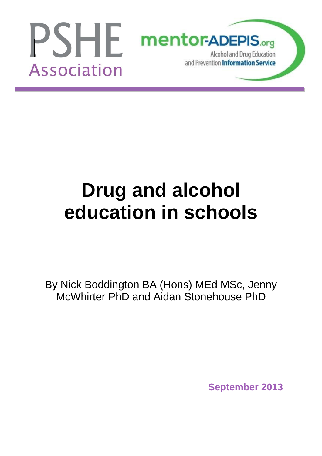

# **Drug and alcohol education in schools**

By Nick Boddington BA (Hons) MEd MSc, Jenny McWhirter PhD and Aidan Stonehouse PhD

**September 2013**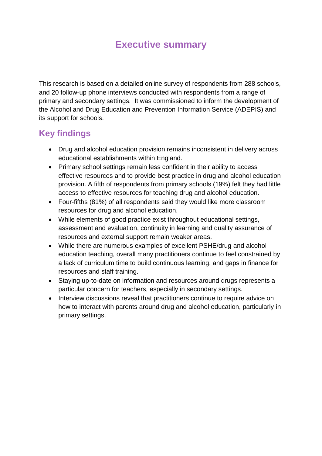### **Executive summary**

This research is based on a detailed online survey of respondents from 288 schools, and 20 follow-up phone interviews conducted with respondents from a range of primary and secondary settings. It was commissioned to inform the development of the Alcohol and Drug Education and Prevention Information Service (ADEPIS) and its support for schools.

### **Key findings**

- Drug and alcohol education provision remains inconsistent in delivery across educational establishments within England.
- Primary school settings remain less confident in their ability to access effective resources and to provide best practice in drug and alcohol education provision. A fifth of respondents from primary schools (19%) felt they had little access to effective resources for teaching drug and alcohol education.
- Four-fifths (81%) of all respondents said they would like more classroom resources for drug and alcohol education.
- While elements of good practice exist throughout educational settings, assessment and evaluation, continuity in learning and quality assurance of resources and external support remain weaker areas.
- While there are numerous examples of excellent PSHE/drug and alcohol education teaching, overall many practitioners continue to feel constrained by a lack of curriculum time to build continuous learning, and gaps in finance for resources and staff training.
- Staying up-to-date on information and resources around drugs represents a particular concern for teachers, especially in secondary settings.
- Interview discussions reveal that practitioners continue to require advice on how to interact with parents around drug and alcohol education, particularly in primary settings.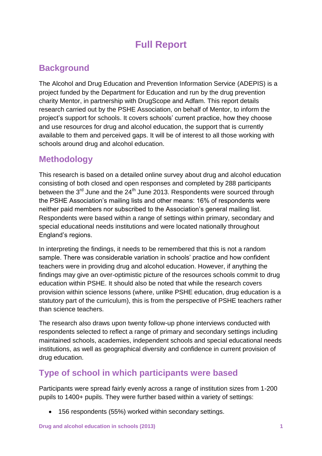## **Full Report**

### **Background**

The Alcohol and Drug Education and Prevention Information Service (ADEPIS) is a project funded by the Department for Education and run by the drug prevention charity Mentor, in partnership with DrugScope and Adfam. This report details research carried out by the PSHE Association, on behalf of Mentor, to inform the project's support for schools. It covers schools' current practice, how they choose and use resources for drug and alcohol education, the support that is currently available to them and perceived gaps. It will be of interest to all those working with schools around drug and alcohol education.

### **Methodology**

This research is based on a detailed online survey about drug and alcohol education consisting of both closed and open responses and completed by 288 participants between the  $3^{rd}$  June and the  $24^{th}$  June 2013. Respondents were sourced through the PSHE Association"s mailing lists and other means: 16% of respondents were neither paid members nor subscribed to the Association"s general mailing list. Respondents were based within a range of settings within primary, secondary and special educational needs institutions and were located nationally throughout England"s regions.

In interpreting the findings, it needs to be remembered that this is not a random sample. There was considerable variation in schools" practice and how confident teachers were in providing drug and alcohol education. However, if anything the findings may give an over-optimistic picture of the resources schools commit to drug education within PSHE. It should also be noted that while the research covers provision within science lessons (where, unlike PSHE education, drug education is a statutory part of the curriculum), this is from the perspective of PSHE teachers rather than science teachers.

The research also draws upon twenty follow-up phone interviews conducted with respondents selected to reflect a range of primary and secondary settings including maintained schools, academies, independent schools and special educational needs institutions, as well as geographical diversity and confidence in current provision of drug education.

### **Type of school in which participants were based**

Participants were spread fairly evenly across a range of institution sizes from 1-200 pupils to 1400+ pupils. They were further based within a variety of settings:

156 respondents (55%) worked within secondary settings.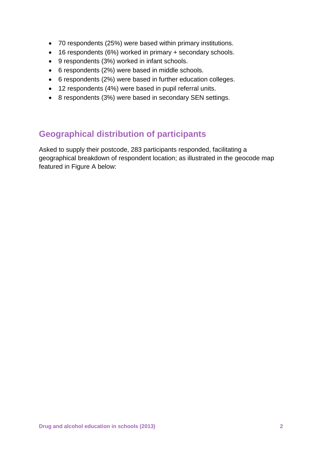- 70 respondents (25%) were based within primary institutions.
- 16 respondents (6%) worked in primary + secondary schools.
- 9 respondents (3%) worked in infant schools.
- 6 respondents (2%) were based in middle schools.
- 6 respondents (2%) were based in further education colleges.
- 12 respondents (4%) were based in pupil referral units.
- 8 respondents (3%) were based in secondary SEN settings.

### **Geographical distribution of participants**

Asked to supply their postcode, 283 participants responded, facilitating a geographical breakdown of respondent location; as illustrated in the geocode map featured in Figure A below: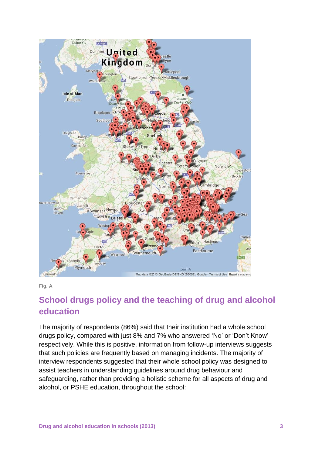

**Fig. A**

### **School drugs policy and the teaching of drug and alcohol education**

The majority of respondents (86%) said that their institution had a whole school drugs policy, compared with just 8% and 7% who answered "No" or "Don"t Know" respectively. While this is positive, information from follow-up interviews suggests that such policies are frequently based on managing incidents. The majority of interview respondents suggested that their whole school policy was designed to assist teachers in understanding guidelines around drug behaviour and safeguarding, rather than providing a holistic scheme for all aspects of drug and alcohol, or PSHE education, throughout the school: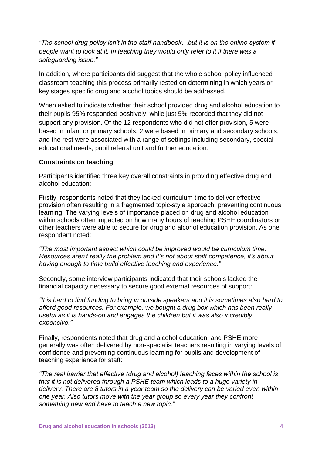*"The school drug policy isn't in the staff handbook…but it is on the online system if people want to look at it. In teaching they would only refer to it if there was a safeguarding issue."*

In addition, where participants did suggest that the whole school policy influenced classroom teaching this process primarily rested on determining in which years or key stages specific drug and alcohol topics should be addressed.

When asked to indicate whether their school provided drug and alcohol education to their pupils 95% responded positively; while just 5% recorded that they did not support any provision. Of the 12 respondents who did not offer provision, 5 were based in infant or primary schools, 2 were based in primary and secondary schools, and the rest were associated with a range of settings including secondary, special educational needs, pupil referral unit and further education.

#### **Constraints on teaching**

Participants identified three key overall constraints in providing effective drug and alcohol education:

Firstly, respondents noted that they lacked curriculum time to deliver effective provision often resulting in a fragmented topic-style approach, preventing continuous learning. The varying levels of importance placed on drug and alcohol education within schools often impacted on how many hours of teaching PSHE coordinators or other teachers were able to secure for drug and alcohol education provision. As one respondent noted:

*"The most important aspect which could be improved would be curriculum time. Resources aren't really the problem and it's not about staff competence, it's about having enough to time build effective teaching and experience."*

Secondly, some interview participants indicated that their schools lacked the financial capacity necessary to secure good external resources of support:

*"It is hard to find funding to bring in outside speakers and it is sometimes also hard to afford good resources. For example, we bought a drug box which has been really useful as it is hands-on and engages the children but it was also incredibly expensive."*

Finally, respondents noted that drug and alcohol education, and PSHE more generally was often delivered by non-specialist teachers resulting in varying levels of confidence and preventing continuous learning for pupils and development of teaching experience for staff:

*"The real barrier that effective (drug and alcohol) teaching faces within the school is that it is not delivered through a PSHE team which leads to a huge variety in delivery. There are 8 tutors in a year team so the delivery can be varied even within one year. Also tutors move with the year group so every year they confront something new and have to teach a new topic."*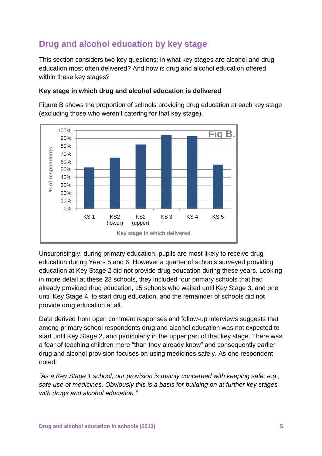### **Drug and alcohol education by key stage**

This section considers two key questions: in what key stages are alcohol and drug education most often delivered? And how is drug and alcohol education offered within these key stages?

### **Key stage in which drug and alcohol education is delivered**

Figure B shows the proportion of schools providing drug education at each key stage (excluding those who weren"t catering for that key stage).



Unsurprisingly, during primary education, pupils are most likely to receive drug education during Years 5 and 6. However a quarter of schools surveyed providing education at Key Stage 2 did not provide drug education during these years. Looking in more detail at these 28 schools, they included four primary schools that had already provided drug education, 15 schools who waited until Key Stage 3, and one until Key Stage 4, to start drug education, and the remainder of schools did not provide drug education at all.

Data derived from open comment responses and follow-up interviews suggests that among primary school respondents drug and alcohol education was not expected to start until Key Stage 2, and particularly in the upper part of that key stage. There was a fear of teaching children more "than they already know" and consequently earlier drug and alcohol provision focuses on using medicines safely. As one respondent noted:

*"As a Key Stage 1 school, our provision is mainly concerned with keeping safe: e.g., safe use of medicines. Obviously this is a basis for building on at further key stages with drugs and alcohol education."*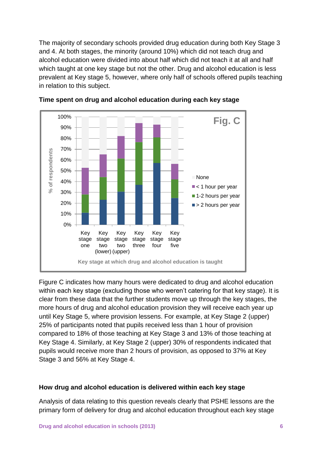The majority of secondary schools provided drug education during both Key Stage 3 and 4. At both stages, the minority (around 10%) which did not teach drug and alcohol education were divided into about half which did not teach it at all and half which taught at one key stage but not the other. Drug and alcohol education is less prevalent at Key stage 5, however, where only half of schools offered pupils teaching in relation to this subject.





Figure C indicates how many hours were dedicated to drug and alcohol education within each key stage (excluding those who weren't catering for that key stage). It is clear from these data that the further students move up through the key stages, the more hours of drug and alcohol education provision they will receive each year up until Key Stage 5, where provision lessens. For example, at Key Stage 2 (upper) 25% of participants noted that pupils received less than 1 hour of provision compared to 18% of those teaching at Key Stage 3 and 13% of those teaching at Key Stage 4. Similarly, at Key Stage 2 (upper) 30% of respondents indicated that pupils would receive more than 2 hours of provision, as opposed to 37% at Key Stage 3 and 56% at Key Stage 4.

#### **How drug and alcohol education is delivered within each key stage**

Analysis of data relating to this question reveals clearly that PSHE lessons are the primary form of delivery for drug and alcohol education throughout each key stage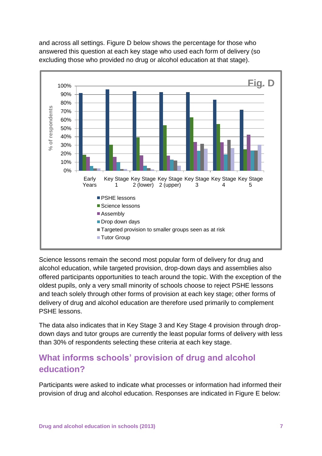

and across all settings. Figure D below shows the percentage for those who answered this question at each key stage who used each form of delivery (so excluding those who provided no drug or alcohol education at that stage).

Science lessons remain the second most popular form of delivery for drug and alcohol education, while targeted provision, drop-down days and assemblies also offered participants opportunities to teach around the topic. With the exception of the oldest pupils, only a very small minority of schools choose to reject PSHE lessons and teach solely through other forms of provision at each key stage; other forms of delivery of drug and alcohol education are therefore used primarily to complement PSHE lessons.

The data also indicates that in Key Stage 3 and Key Stage 4 provision through dropdown days and tutor groups are currently the least popular forms of delivery with less than 30% of respondents selecting these criteria at each key stage.

### **What informs schools' provision of drug and alcohol education?**

Participants were asked to indicate what processes or information had informed their provision of drug and alcohol education. Responses are indicated in Figure E below: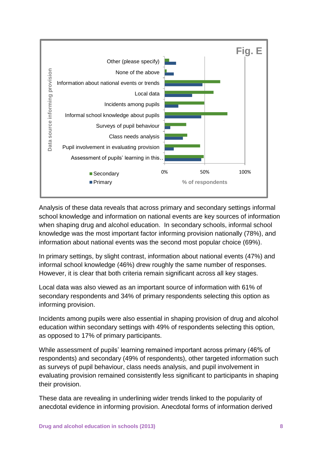

Analysis of these data reveals that across primary and secondary settings informal school knowledge and information on national events are key sources of information when shaping drug and alcohol education. In secondary schools, informal school knowledge was the most important factor informing provision nationally (78%), and information about national events was the second most popular choice (69%).

In primary settings, by slight contrast, information about national events (47%) and informal school knowledge (46%) drew roughly the same number of responses. However, it is clear that both criteria remain significant across all key stages.

Local data was also viewed as an important source of information with 61% of secondary respondents and 34% of primary respondents selecting this option as informing provision.

Incidents among pupils were also essential in shaping provision of drug and alcohol education within secondary settings with 49% of respondents selecting this option, as opposed to 17% of primary participants.

While assessment of pupils' learning remained important across primary (46% of respondents) and secondary (49% of respondents), other targeted information such as surveys of pupil behaviour, class needs analysis, and pupil involvement in evaluating provision remained consistently less significant to participants in shaping their provision.

These data are revealing in underlining wider trends linked to the popularity of anecdotal evidence in informing provision. Anecdotal forms of information derived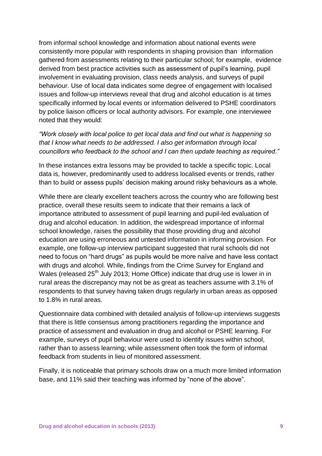from informal school knowledge and information about national events were consistently more popular with respondents in shaping provision than information gathered from assessments relating to their particular school; for example, evidence derived from best practice activities such as assessment of pupil"s learning, pupil involvement in evaluating provision, class needs analysis, and surveys of pupil behaviour. Use of local data indicates some degree of engagement with localised issues and follow-up interviews reveal that drug and alcohol education is at times specifically informed by local events or information delivered to PSHE coordinators by police liaison officers or local authority advisors. For example, one interviewee noted that they would:

*"Work closely with local police to get local data and find out what is happening so that I know what needs to be addressed. I also get information through local councillors who feedback to the school and I can then update teaching as required."*

In these instances extra lessons may be provided to tackle a specific topic. Local data is, however, predominantly used to address localised events or trends, rather than to build or assess pupils" decision making around risky behaviours as a whole.

While there are clearly excellent teachers across the country who are following best practice, overall these results seem to indicate that their remains a lack of importance attributed to assessment of pupil learning and pupil-led evaluation of drug and alcohol education. In addition, the widespread importance of informal school knowledge, raises the possibility that those providing drug and alcohol education are using erroneous and untested information in informing provision. For example, one follow-up interview participant suggested that rural schools did not need to focus on "hard drugs" as pupils would be more naïve and have less contact with drugs and alcohol. While, findings from the Crime Survey for England and Wales (released  $25<sup>th</sup>$  July 2013; Home Office) indicate that drug use is lower in in rural areas the discrepancy may not be as great as teachers assume with 3.1% of respondents to that survey having taken drugs regularly in urban areas as opposed to 1.8% in rural areas.

Questionnaire data combined with detailed analysis of follow-up interviews suggests that there is little consensus among practitioners regarding the importance and practice of assessment and evaluation in drug and alcohol or PSHE learning. For example, surveys of pupil behaviour were used to identify issues within school, rather than to assess learning; while assessment often took the form of informal feedback from students in lieu of monitored assessment.

Finally, it is noticeable that primary schools draw on a much more limited information base, and 11% said their teaching was informed by "none of the above".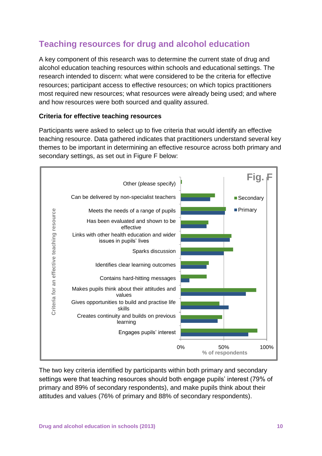### **Teaching resources for drug and alcohol education**

A key component of this research was to determine the current state of drug and alcohol education teaching resources within schools and educational settings. The research intended to discern: what were considered to be the criteria for effective resources; participant access to effective resources; on which topics practitioners most required new resources; what resources were already being used; and where and how resources were both sourced and quality assured.

#### **Criteria for effective teaching resources**

Participants were asked to select up to five criteria that would identify an effective teaching resource. Data gathered indicates that practitioners understand several key themes to be important in determining an effective resource across both primary and secondary settings, as set out in Figure F below:



The two key criteria identified by participants within both primary and secondary settings were that teaching resources should both engage pupils' interest (79% of primary and 89% of secondary respondents), and make pupils think about their attitudes and values (76% of primary and 88% of secondary respondents).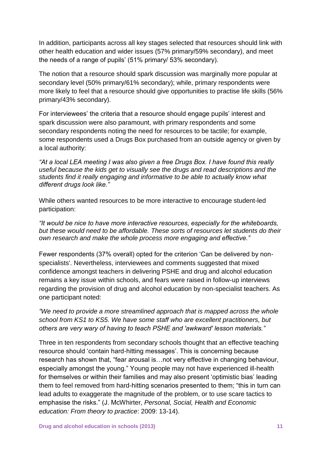In addition, participants across all key stages selected that resources should link with other health education and wider issues (57% primary/59% secondary), and meet the needs of a range of pupils' (51% primary/ 53% secondary).

The notion that a resource should spark discussion was marginally more popular at secondary level (50% primary/61% secondary); while, primary respondents were more likely to feel that a resource should give opportunities to practise life skills (56% primary/43% secondary).

For interviewees' the criteria that a resource should engage pupils' interest and spark discussion were also paramount, with primary respondents and some secondary respondents noting the need for resources to be tactile; for example, some respondents used a Drugs Box purchased from an outside agency or given by a local authority:

*"At a local LEA meeting I was also given a free Drugs Box. I have found this really useful because the kids get to visually see the drugs and read descriptions and the students find it really engaging and informative to be able to actually know what different drugs look like."*

While others wanted resources to be more interactive to encourage student-led participation:

*"It would be nice to have more interactive resources, especially for the whiteboards, but these would need to be affordable. These sorts of resources let students do their own research and make the whole process more engaging and effective."*

Fewer respondents (37% overall) opted for the criterion "Can be delivered by nonspecialists'. Nevertheless, interviewees and comments suggested that mixed confidence amongst teachers in delivering PSHE and drug and alcohol education remains a key issue within schools, and fears were raised in follow-up interviews regarding the provision of drug and alcohol education by non-specialist teachers. As one participant noted:

*"We need to provide a more streamlined approach that is mapped across the whole school from KS1 to KS5. We have some staff who are excellent practitioners, but others are very wary of having to teach PSHE and 'awkward' lesson materials."*

Three in ten respondents from secondary schools thought that an effective teaching resource should 'contain hard-hitting messages'. This is concerning because research has shown that, "fear arousal is…not very effective in changing behaviour, especially amongst the young." Young people may not have experienced ill-health for themselves or within their families and may also present "optimistic bias" leading them to feel removed from hard-hitting scenarios presented to them; "this in turn can lead adults to exaggerate the magnitude of the problem, or to use scare tactics to emphasise the risks." (J. McWhirter, *Personal, Social, Health and Economic education: From theory to practice*: 2009: 13-14).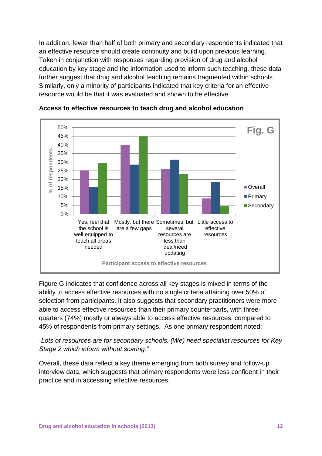In addition, fewer than half of both primary and secondary respondents indicated that an effective resource should create continuity and build upon previous learning. Taken in conjunction with responses regarding provision of drug and alcohol education by key stage and the information used to inform such teaching, these data further suggest that drug and alcohol teaching remains fragmented within schools. Similarly, only a minority of participants indicated that key criteria for an effective resource would be that it was evaluated and shown to be effective.





Figure G indicates that confidence across all key stages is mixed in terms of the ability to access effective resources with no single criteria attaining over 50% of selection from participants. It also suggests that secondary practitioners were more able to access effective resources than their primary counterparts, with threequarters (74%) mostly or always able to access effective resources, compared to 45% of respondents from primary settings. As one primary respondent noted:

*"Lots of resources are for secondary schools. (We) need specialist resources for Key Stage 2 which inform without scaring."*

Overall, these data reflect a key theme emerging from both survey and follow-up interview data, which suggests that primary respondents were less confident in their practice and in accessing effective resources.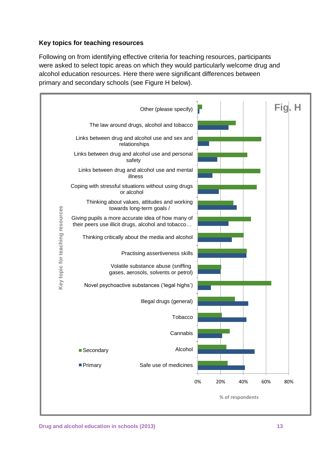### **Key topics for teaching resources**

Following on from identifying effective criteria for teaching resources, participants were asked to select topic areas on which they would particularly welcome drug and alcohol education resources. Here there were significant differences between primary and secondary schools (see Figure H below).

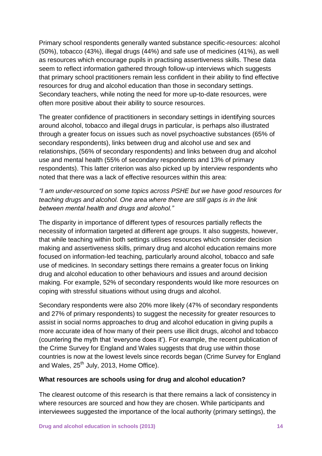Primary school respondents generally wanted substance specific-resources: alcohol (50%), tobacco (43%), illegal drugs (44%) and safe use of medicines (41%), as well as resources which encourage pupils in practising assertiveness skills. These data seem to reflect information gathered through follow-up interviews which suggests that primary school practitioners remain less confident in their ability to find effective resources for drug and alcohol education than those in secondary settings. Secondary teachers, while noting the need for more up-to-date resources, were often more positive about their ability to source resources.

The greater confidence of practitioners in secondary settings in identifying sources around alcohol, tobacco and illegal drugs in particular, is perhaps also illustrated through a greater focus on issues such as novel psychoactive substances (65% of secondary respondents), links between drug and alcohol use and sex and relationships, (56% of secondary respondents) and links between drug and alcohol use and mental health (55% of secondary respondents and 13% of primary respondents). This latter criterion was also picked up by interview respondents who noted that there was a lack of effective resources within this area:

*"I am under-resourced on some topics across PSHE but we have good resources for teaching drugs and alcohol. One area where there are still gaps is in the link between mental health and drugs and alcohol."*

The disparity in importance of different types of resources partially reflects the necessity of information targeted at different age groups. It also suggests, however, that while teaching within both settings utilises resources which consider decision making and assertiveness skills, primary drug and alcohol education remains more focused on information-led teaching, particularly around alcohol, tobacco and safe use of medicines. In secondary settings there remains a greater focus on linking drug and alcohol education to other behaviours and issues and around decision making. For example, 52% of secondary respondents would like more resources on coping with stressful situations without using drugs and alcohol.

Secondary respondents were also 20% more likely (47% of secondary respondents and 27% of primary respondents) to suggest the necessity for greater resources to assist in social norms approaches to drug and alcohol education in giving pupils a more accurate idea of how many of their peers use illicit drugs, alcohol and tobacco (countering the myth that "everyone does it"). For example, the recent publication of the Crime Survey for England and Wales suggests that drug use within those countries is now at the lowest levels since records began (Crime Survey for England and Wales, 25<sup>th</sup> July, 2013, Home Office).

#### **What resources are schools using for drug and alcohol education?**

The clearest outcome of this research is that there remains a lack of consistency in where resources are sourced and how they are chosen. While participants and interviewees suggested the importance of the local authority (primary settings), the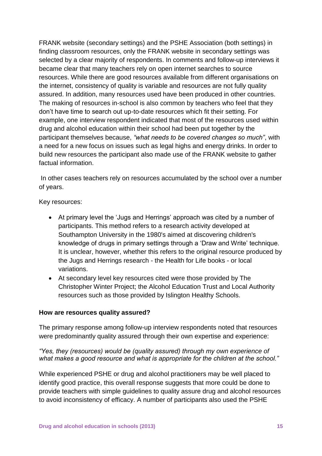FRANK website (secondary settings) and the PSHE Association (both settings) in finding classroom resources, only the FRANK website in secondary settings was selected by a clear majority of respondents. In comments and follow-up interviews it became clear that many teachers rely on open internet searches to source resources. While there are good resources available from different organisations on the internet, consistency of quality is variable and resources are not fully quality assured. In addition, many resources used have been produced in other countries. The making of resources in-school is also common by teachers who feel that they don"t have time to search out up-to-date resources which fit their setting. For example, one interview respondent indicated that most of the resources used within drug and alcohol education within their school had been put together by the participant themselves because, *"what needs to be covered changes so much"*, with a need for a new focus on issues such as legal highs and energy drinks. In order to build new resources the participant also made use of the FRANK website to gather factual information.

In other cases teachers rely on resources accumulated by the school over a number of years.

Key resources:

- At primary level the "Jugs and Herrings" approach was cited by a number of participants. This method refers to a research activity developed at Southampton University in the 1980's aimed at discovering children's knowledge of drugs in primary settings through a "Draw and Write" technique. It is unclear, however, whether this refers to the original resource produced by the Jugs and Herrings research - the Health for Life books - or local variations.
- At secondary level key resources cited were those provided by The Christopher Winter Project; the Alcohol Education Trust and Local Authority resources such as those provided by Islington Healthy Schools.

### **How are resources quality assured?**

The primary response among follow-up interview respondents noted that resources were predominantly quality assured through their own expertise and experience:

### *"Yes, they (resources) would be (quality assured) through my own experience of what makes a good resource and what is appropriate for the children at the school."*

While experienced PSHE or drug and alcohol practitioners may be well placed to identify good practice, this overall response suggests that more could be done to provide teachers with simple guidelines to quality assure drug and alcohol resources to avoid inconsistency of efficacy. A number of participants also used the PSHE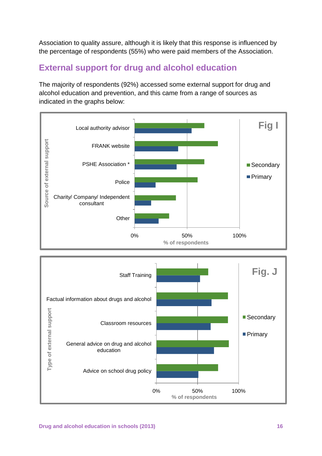Association to quality assure, although it is likely that this response is influenced by the percentage of respondents (55%) who were paid members of the Association.

### **External support for drug and alcohol education**

The majority of respondents (92%) accessed some external support for drug and alcohol education and prevention, and this came from a range of sources as indicated in the graphs below:



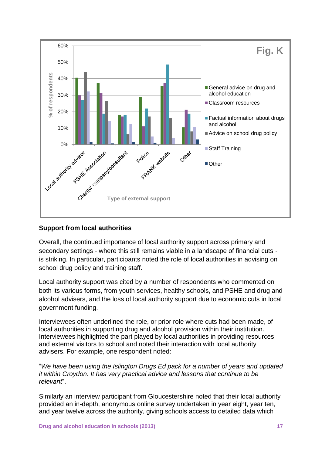

### **Support from local authorities**

Overall, the continued importance of local authority support across primary and secondary settings - where this still remains viable in a landscape of financial cuts is striking. In particular, participants noted the role of local authorities in advising on school drug policy and training staff.

Local authority support was cited by a number of respondents who commented on both its various forms, from youth services, healthy schools, and PSHE and drug and alcohol advisers, and the loss of local authority support due to economic cuts in local government funding.

Interviewees often underlined the role, or prior role where cuts had been made, of local authorities in supporting drug and alcohol provision within their institution. Interviewees highlighted the part played by local authorities in providing resources and external visitors to school and noted their interaction with local authority advisers. For example, one respondent noted:

"*We have been using the Islington Drugs Ed pack for a number of years and updated it within Croydon. It has very practical advice and lessons that continue to be relevant*".

Similarly an interview participant from Gloucestershire noted that their local authority provided an in-depth, anonymous online survey undertaken in year eight, year ten, and year twelve across the authority, giving schools access to detailed data which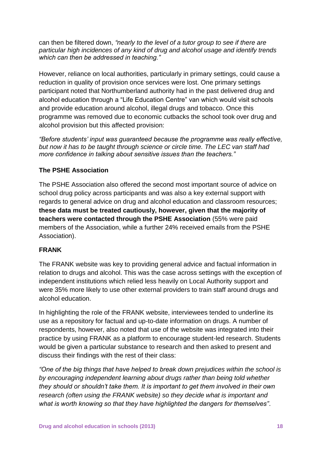can then be filtered down, *"nearly to the level of a tutor group to see if there are particular high incidences of any kind of drug and alcohol usage and identify trends which can then be addressed in teaching."*

However, reliance on local authorities, particularly in primary settings, could cause a reduction in quality of provision once services were lost. One primary settings participant noted that Northumberland authority had in the past delivered drug and alcohol education through a "Life Education Centre" van which would visit schools and provide education around alcohol, illegal drugs and tobacco. Once this programme was removed due to economic cutbacks the school took over drug and alcohol provision but this affected provision:

*"Before students' input was guaranteed because the programme was really effective, but now it has to be taught through science or circle time. The LEC van staff had more confidence in talking about sensitive issues than the teachers."* 

### **The PSHE Association**

The PSHE Association also offered the second most important source of advice on school drug policy across participants and was also a key external support with regards to general advice on drug and alcohol education and classroom resources; **these data must be treated cautiously, however, given that the majority of teachers were contacted through the PSHE Association** (55% were paid members of the Association, while a further 24% received emails from the PSHE Association).

#### **FRANK**

The FRANK website was key to providing general advice and factual information in relation to drugs and alcohol. This was the case across settings with the exception of independent institutions which relied less heavily on Local Authority support and were 35% more likely to use other external providers to train staff around drugs and alcohol education.

In highlighting the role of the FRANK website, interviewees tended to underline its use as a repository for factual and up-to-date information on drugs. A number of respondents, however, also noted that use of the website was integrated into their practice by using FRANK as a platform to encourage student-led research. Students would be given a particular substance to research and then asked to present and discuss their findings with the rest of their class:

*"One of the big things that have helped to break down prejudices within the school is by encouraging independent learning about drugs rather than being told whether they should or shouldn't take them. It is important to get them involved in their own research (often using the FRANK website) so they decide what is important and what is worth knowing so that they have highlighted the dangers for themselves"*.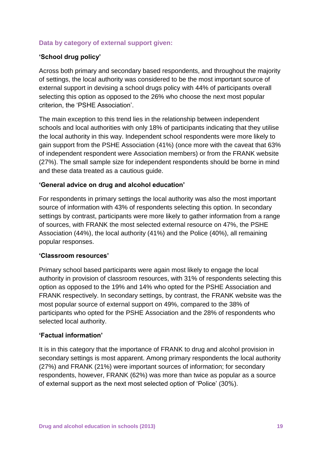### **Data by category of external support given:**

### **'School drug policy'**

Across both primary and secondary based respondents, and throughout the majority of settings, the local authority was considered to be the most important source of external support in devising a school drugs policy with 44% of participants overall selecting this option as opposed to the 26% who choose the next most popular criterion, the "PSHE Association".

The main exception to this trend lies in the relationship between independent schools and local authorities with only 18% of participants indicating that they utilise the local authority in this way. Independent school respondents were more likely to gain support from the PSHE Association (41%) (once more with the caveat that 63% of independent respondent were Association members) or from the FRANK website (27%). The small sample size for independent respondents should be borne in mind and these data treated as a cautious guide.

#### **'General advice on drug and alcohol education'**

For respondents in primary settings the local authority was also the most important source of information with 43% of respondents selecting this option. In secondary settings by contrast, participants were more likely to gather information from a range of sources, with FRANK the most selected external resource on 47%, the PSHE Association (44%), the local authority (41%) and the Police (40%), all remaining popular responses.

#### **'Classroom resources'**

Primary school based participants were again most likely to engage the local authority in provision of classroom resources, with 31% of respondents selecting this option as opposed to the 19% and 14% who opted for the PSHE Association and FRANK respectively. In secondary settings, by contrast, the FRANK website was the most popular source of external support on 49%, compared to the 38% of participants who opted for the PSHE Association and the 28% of respondents who selected local authority.

### **'Factual information'**

It is in this category that the importance of FRANK to drug and alcohol provision in secondary settings is most apparent. Among primary respondents the local authority (27%) and FRANK (21%) were important sources of information; for secondary respondents, however, FRANK (62%) was more than twice as popular as a source of external support as the next most selected option of "Police" (30%).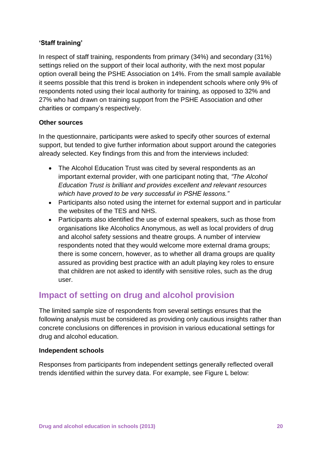### **'Staff training'**

In respect of staff training, respondents from primary (34%) and secondary (31%) settings relied on the support of their local authority, with the next most popular option overall being the PSHE Association on 14%. From the small sample available it seems possible that this trend is broken in independent schools where only 9% of respondents noted using their local authority for training, as opposed to 32% and 27% who had drawn on training support from the PSHE Association and other charities or company"s respectively.

### **Other sources**

In the questionnaire, participants were asked to specify other sources of external support, but tended to give further information about support around the categories already selected. Key findings from this and from the interviews included:

- The Alcohol Education Trust was cited by several respondents as an important external provider, with one participant noting that, *"The Alcohol Education Trust is brilliant and provides excellent and relevant resources which have proved to be very successful in PSHE lessons."*
- Participants also noted using the internet for external support and in particular the websites of the TES and NHS.
- Participants also identified the use of external speakers, such as those from organisations like Alcoholics Anonymous, as well as local providers of drug and alcohol safety sessions and theatre groups. A number of interview respondents noted that they would welcome more external drama groups; there is some concern, however, as to whether all drama groups are quality assured as providing best practice with an adult playing key roles to ensure that children are not asked to identify with sensitive roles, such as the drug user.

### **Impact of setting on drug and alcohol provision**

The limited sample size of respondents from several settings ensures that the following analysis must be considered as providing only cautious insights rather than concrete conclusions on differences in provision in various educational settings for drug and alcohol education.

### **Independent schools**

Responses from participants from independent settings generally reflected overall trends identified within the survey data. For example, see Figure L below: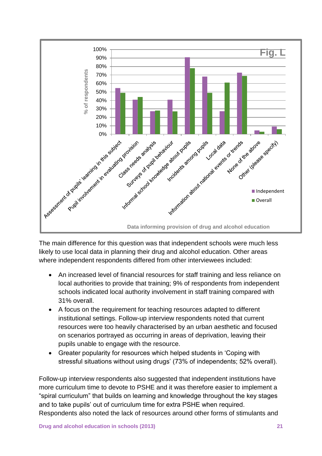

The main difference for this question was that independent schools were much less likely to use local data in planning their drug and alcohol education. Other areas where independent respondents differed from other interviewees included:

- An increased level of financial resources for staff training and less reliance on local authorities to provide that training; 9% of respondents from independent schools indicated local authority involvement in staff training compared with 31% overall.
- A focus on the requirement for teaching resources adapted to different institutional settings. Follow-up interview respondents noted that current resources were too heavily characterised by an urban aesthetic and focused on scenarios portrayed as occurring in areas of deprivation, leaving their pupils unable to engage with the resource.
- Greater popularity for resources which helped students in "Coping with stressful situations without using drugs" (73% of independents; 52% overall).

Follow-up interview respondents also suggested that independent institutions have more curriculum time to devote to PSHE and it was therefore easier to implement a "spiral curriculum" that builds on learning and knowledge throughout the key stages and to take pupils" out of curriculum time for extra PSHE when required. Respondents also noted the lack of resources around other forms of stimulants and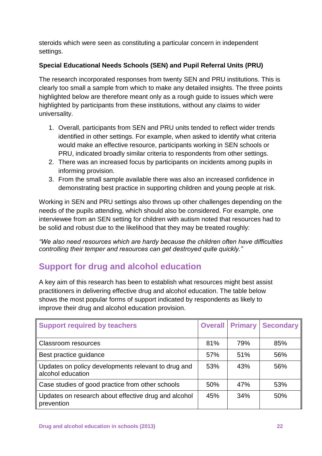steroids which were seen as constituting a particular concern in independent settings.

### **Special Educational Needs Schools (SEN) and Pupil Referral Units (PRU)**

The research incorporated responses from twenty SEN and PRU institutions. This is clearly too small a sample from which to make any detailed insights. The three points highlighted below are therefore meant only as a rough guide to issues which were highlighted by participants from these institutions, without any claims to wider universality.

- 1. Overall, participants from SEN and PRU units tended to reflect wider trends identified in other settings. For example, when asked to identify what criteria would make an effective resource, participants working in SEN schools or PRU, indicated broadly similar criteria to respondents from other settings.
- 2. There was an increased focus by participants on incidents among pupils in informing provision.
- 3. From the small sample available there was also an increased confidence in demonstrating best practice in supporting children and young people at risk.

Working in SEN and PRU settings also throws up other challenges depending on the needs of the pupils attending, which should also be considered. For example, one interviewee from an SEN setting for children with autism noted that resources had to be solid and robust due to the likelihood that they may be treated roughly:

*"We also need resources which are hardy because the children often have difficulties controlling their temper and resources can get destroyed quite quickly."*

### **Support for drug and alcohol education**

A key aim of this research has been to establish what resources might best assist practitioners in delivering effective drug and alcohol education. The table below shows the most popular forms of support indicated by respondents as likely to improve their drug and alcohol education provision.

| <b>Support required by teachers</b>                                      | <b>Overall</b> | <b>Primary</b> | <b>Secondary</b> |
|--------------------------------------------------------------------------|----------------|----------------|------------------|
| <b>Classroom resources</b>                                               | 81%            | 79%            | 85%              |
| Best practice guidance                                                   | 57%            | 51%            | 56%              |
| Updates on policy developments relevant to drug and<br>alcohol education | 53%            | 43%            | 56%              |
| Case studies of good practice from other schools                         | 50%            | 47%            | 53%              |
| Updates on research about effective drug and alcohol<br>prevention       | 45%            | 34%            | 50%              |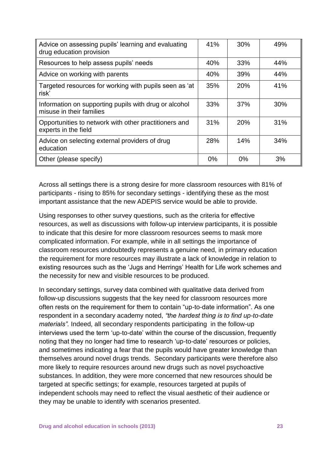| Advice on assessing pupils' learning and evaluating<br>drug education provision   | 41% | 30% | 49% |
|-----------------------------------------------------------------------------------|-----|-----|-----|
| Resources to help assess pupils' needs                                            | 40% | 33% | 44% |
| Advice on working with parents                                                    | 40% | 39% | 44% |
| Targeted resources for working with pupils seen as 'at<br>risk'                   | 35% | 20% | 41% |
| Information on supporting pupils with drug or alcohol<br>misuse in their families | 33% | 37% | 30% |
| Opportunities to network with other practitioners and<br>experts in the field     | 31% | 20% | 31% |
| Advice on selecting external providers of drug<br>education                       | 28% | 14% | 34% |
| Other (please specify)                                                            | 0%  | 0%  | 3%  |

Across all settings there is a strong desire for more classroom resources with 81% of participants - rising to 85% for secondary settings - identifying these as the most important assistance that the new ADEPIS service would be able to provide.

Using responses to other survey questions, such as the criteria for effective resources, as well as discussions with follow-up interview participants, it is possible to indicate that this desire for more classroom resources seems to mask more complicated information. For example, while in all settings the importance of classroom resources undoubtedly represents a genuine need, in primary education the requirement for more resources may illustrate a lack of knowledge in relation to existing resources such as the "Jugs and Herrings" Health for Life work schemes and the necessity for new and visible resources to be produced.

In secondary settings, survey data combined with qualitative data derived from follow-up discussions suggests that the key need for classroom resources more often rests on the requirement for them to contain "up-to-date information". As one respondent in a secondary academy noted, *"the hardest thing is to find up-to-date materials".* Indeed, all secondary respondents participating in the follow-up interviews used the term 'up-to-date' within the course of the discussion, frequently noting that they no longer had time to research "up-to-date" resources or policies, and sometimes indicating a fear that the pupils would have greater knowledge than themselves around novel drugs trends. Secondary participants were therefore also more likely to require resources around new drugs such as novel psychoactive substances. In addition, they were more concerned that new resources should be targeted at specific settings; for example, resources targeted at pupils of independent schools may need to reflect the visual aesthetic of their audience or they may be unable to identify with scenarios presented.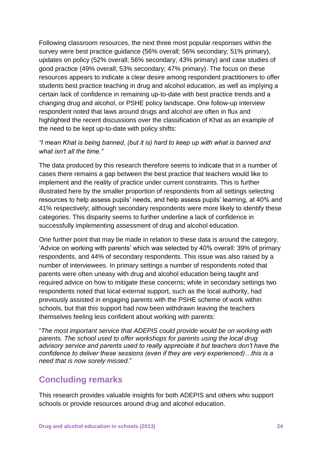Following classroom resources, the next three most popular responses within the survey were best practice guidance (56% overall; 56% secondary; 51% primary), updates on policy (52% overall; 56% secondary; 43% primary) and case studies of good practice (49% overall; 53% secondary; 47% primary). The focus on these resources appears to indicate a clear desire among respondent practitioners to offer students best practice teaching in drug and alcohol education, as well as implying a certain lack of confidence in remaining up-to-date with best practice trends and a changing drug and alcohol, or PSHE policy landscape. One follow-up interview respondent noted that laws around drugs and alcohol are often in flux and highlighted the recent discussions over the classification of Khat as an example of the need to be kept up-to-date with policy shifts:

#### *"I mean Khat is being banned, (but it is) hard to keep up with what is banned and what isn't all the time."*

The data produced by this research therefore seems to indicate that in a number of cases there remains a gap between the best practice that teachers would like to implement and the reality of practice under current constraints. This is further illustrated here by the smaller proportion of respondents from all settings selecting resources to help assess pupils" needs, and help assess pupils" learning, at 40% and 41% respectively; although secondary respondents were more likely to identify these categories. This disparity seems to further underline a lack of confidence in successfully implementing assessment of drug and alcohol education.

One further point that may be made in relation to these data is around the category, "Advice on working with parents" which was selected by 40% overall: 39% of primary respondents, and 44% of secondary respondents. This issue was also raised by a number of interviewees. In primary settings a number of respondents noted that parents were often uneasy with drug and alcohol education being taught and required advice on how to mitigate these concerns; while in secondary settings two respondents noted that local external support, such as the local authority, had previously assisted in engaging parents with the PSHE scheme of work within schools, but that this support had now been withdrawn leaving the teachers themselves feeling less confident about working with parents:

"*The most important service that ADEPIS could provide would be on working with parents. The school used to offer workshops for parents using the local drug advisory service and parents used to really appreciate it but teachers don't have the confidence to deliver these sessions (even if they are very experienced)…this is a need that is now sorely missed.*"

### **Concluding remarks**

This research provides valuable insights for both ADEPIS and others who support schools or provide resources around drug and alcohol education.